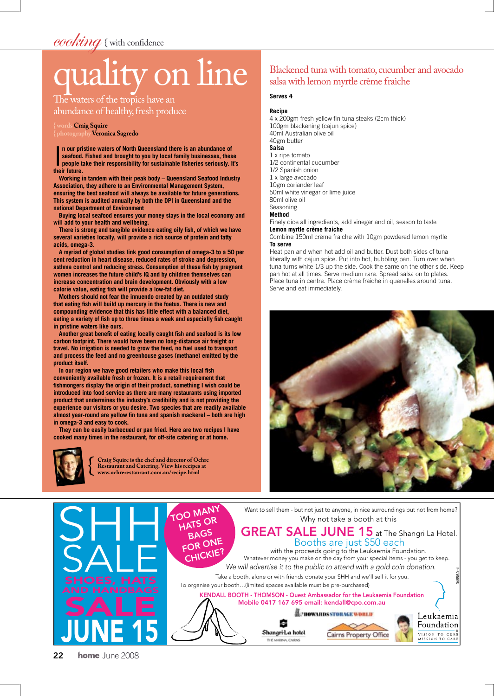# cooking { with confidence

# ity on line

The waters of the tropics have an abundance of healthy, fresh produce

#### **{ words Craig Squire { photographyVeronica Sagredo**

**n** our pri<br>seafood.<br>people to<br>their future. **n our pristine waters of North Queensland there is an abundance of seafood. Fished and brought to you by local family businesses, these people take their responsibility for sustainable fisheries seriously. It's** 

**Working in tandem with their peak body – Queensland Seafood Industry Association, they adhere to an Environmental Management System, ensuring the best seafood will always be available for future generations. This system is audited annually by both the DPI in Queensland and the national Department of Environment**

**Buying local seafood ensures your money stays in the local economy and will add to your health and wellbeing.** 

**There is strong and tangible evidence eating oily fish, of which we have several varieties locally, will provide a rich source of protein and fatty acids, omega-3.**

**A myriad of global studies link good consumption of omega-3 to a 50 per cent reduction in heart disease, reduced rates of stroke and depression, asthma control and reducing stress. Consumption of these fish by pregnant women increases the future child's IQ and by children themselves can increase concentration and brain development. Obviously with a low calorie value, eating fish will provide a low-fat diet.**

**Mothers should not fear the innuendo created by an outdated study that eating fish will build up mercury in the foetus. There is new and compounding evidence that this has little effect with a balanced diet, eating a variety of fish up to three times a week and especially fish caught in pristine waters like ours.**

**Another great benefit of eating locally caught fish and seafood is its low carbon footprint. There would have been no long-distance air freight or travel. No irrigation is needed to grow the feed, no fuel used to transport and process the feed and no greenhouse gases (methane) emitted by the product itself.** 

**In our region we have good retailers who make this local fish conveniently available fresh or frozen. It is a retail requirement that fishmongers display the origin of their product, something I wish could be introduced into food service as there are many restaurants using imported product that undermines the industry's credibility and is not providing the experience our visitors or you desire. Two species that are readily available almost year-round are yellow fin tuna and spanish mackerel – both are high in omega-3 and easy to cook.**

**They can be easily barbecued or pan fried. Here are two recipes I have cooked many times in the restaurant, for off-site catering or at home.**



**Craig Squire is the chef and director of Ochre Restaurant and Catering. View his recipes at www.ochrerestaurant.com.au/recipe.html**

## Blackened tuna with tomato, cucumber and avocado salsa with lemon myrtle crème fraiche

#### **Serves 4**

## **Recipe**

4 x 200gm fresh yellow fin tuna steaks (2cm thick) 100gm blackening (cajun spice) 40ml Australian olive oil 40gm butter **Salsa** 1 x ripe tomato 1/2 continental cucumber 1/2 Spanish onion 1 x large avocado 10gm coriander leaf 50ml white vinegar or lime juice

80ml olive oil

Seasoning

**Method**

Finely dice all ingredients, add vinegar and oil, season to taste **Lemon myrtle crème fraiche**

Combine 150ml crème fraiche with 10gm powdered lemon myrtle **To serve**

Heat pan and when hot add oil and butter. Dust both sides of tuna liberally with cajun spice. Put into hot, bubbling pan. Turn over when tuna turns white 1/3 up the side. Cook the same on the other side. Keep pan hot at all times. Serve medium rare. Spread salsa on to plates. Place tuna in centre. Place crème fraiche in quenelles around tuna. Serve and eat immediately.